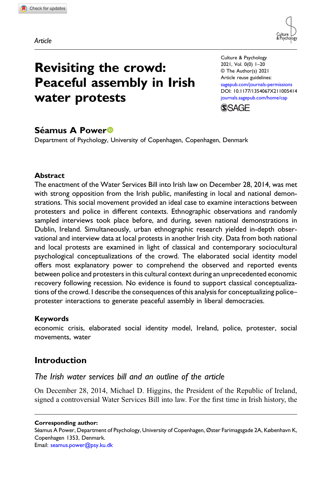Article



# Revisiting the crowd: Peaceful assembly in Irish water protests

Culture & Psychology 2021, Vol. 0(0) 1–20 © The Author(s) 2021 Article reuse guidelines: [sagepub.com/journals-permissions](https://uk.sagepub.com/en-gb/journals-permissions) DOI: [10.1177/1354067X211005414](https://doi.org/10.1177/1354067X211005414) [journals.sagepub.com/home/cap](https://journals.sagepub.com/home/cap)



# Séamus A Power<sup>®</sup>

Department of Psychology, University of Copenhagen, Copenhagen, Denmark

# **Abstract**

The enactment of the Water Services Bill into Irish law on December 28, 2014, was met with strong opposition from the Irish public, manifesting in local and national demonstrations. This social movement provided an ideal case to examine interactions between protesters and police in different contexts. Ethnographic observations and randomly sampled interviews took place before, and during, seven national demonstrations in Dublin, Ireland. Simultaneously, urban ethnographic research yielded in-depth observational and interview data at local protests in another Irish city. Data from both national and local protests are examined in light of classical and contemporary sociocultural psychological conceptualizations of the crowd. The elaborated social identity model offers most explanatory power to comprehend the observed and reported events between police and protesters in this cultural context during an unprecedented economic recovery following recession. No evidence is found to support classical conceptualizations of the crowd. I describe the consequences of this analysis for conceptualizing police– protester interactions to generate peaceful assembly in liberal democracies.

# Keywords

economic crisis, elaborated social identity model, Ireland, police, protester, social movements, water

# Introduction

# The Irish water services bill and an outline of the article

On December 28, 2014, Michael D. Higgins, the President of the Republic of Ireland, signed a controversial Water Services Bill into law. For the first time in Irish history, the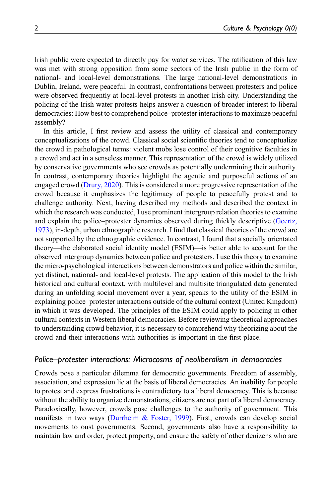Irish public were expected to directly pay for water services. The ratification of this law was met with strong opposition from some sectors of the Irish public in the form of national- and local-level demonstrations. The large national-level demonstrations in Dublin, Ireland, were peaceful. In contrast, confrontations between protesters and police were observed frequently at local-level protests in another Irish city. Understanding the policing of the Irish water protests helps answer a question of broader interest to liberal democracies: How best to comprehend police–protester interactions to maximize peaceful assembly?

In this article, I first review and assess the utility of classical and contemporary conceptualizations of the crowd. Classical social scientific theories tend to conceptualize the crowd in pathological terms: violent mobs lose control of their cognitive faculties in a crowd and act in a senseless manner. This representation of the crowd is widely utilized by conservative governments who see crowds as potentially undermining their authority. In contrast, contemporary theories highlight the agentic and purposeful actions of an engaged crowd [\(Drury, 2020\)](#page-16-0). This is considered a more progressive representation of the crowd because it emphasizes the legitimacy of people to peacefully protest and to challenge authority. Next, having described my methods and described the context in which the research was conducted, I use prominent intergroup relation theories to examine and explain the police–protester dynamics observed during thickly descriptive [\(Geertz,](#page-16-1) [1973\)](#page-16-1), in-depth, urban ethnographic research. I find that classical theories of the crowd are not supported by the ethnographic evidence. In contrast, I found that a socially orientated theory—the elaborated social identity model (ESIM)—is better able to account for the observed intergroup dynamics between police and protesters. I use this theory to examine the micro-psychological interactions between demonstrators and police within the similar, yet distinct, national- and local-level protests. The application of this model to the Irish historical and cultural context, with multilevel and multisite triangulated data generated during an unfolding social movement over a year, speaks to the utility of the ESIM in explaining police–protester interactions outside of the cultural context (United Kingdom) in which it was developed. The principles of the ESIM could apply to policing in other cultural contexts in Western liberal democracies. Before reviewing theoretical approaches to understanding crowd behavior, it is necessary to comprehend why theorizing about the crowd and their interactions with authorities is important in the first place.

#### Police–protester interactions: Microcosms of neoliberalism in democracies

Crowds pose a particular dilemma for democratic governments. Freedom of assembly, association, and expression lie at the basis of liberal democracies. An inability for people to protest and express frustrations is contradictory to a liberal democracy. This is because without the ability to organize demonstrations, citizens are not part of a liberal democracy. Paradoxically, however, crowds pose challenges to the authority of government. This manifests in two ways ([Durrheim & Foster, 1999](#page-16-2)). First, crowds can develop social movements to oust governments. Second, governments also have a responsibility to maintain law and order, protect property, and ensure the safety of other denizens who are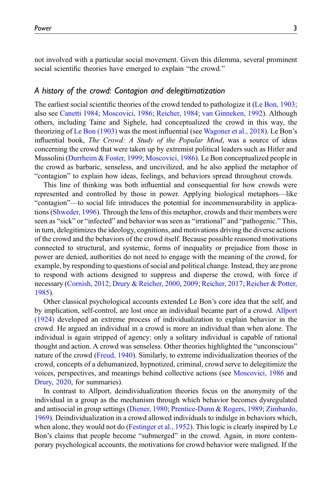not involved with a particular social movement. Given this dilemma, several prominent social scientific theories have emerged to explain "the crowd."

#### A history of the crowd: Contagion and delegitimatization

The earliest social scientific theories of the crowd tended to pathologize it ([Le Bon, 1903;](#page-16-3) also see [Canetti 1984;](#page-15-0) [Moscovici, 1986](#page-17-0); [Reicher, 1984](#page-17-1); [van Ginneken, 1992](#page-18-0)). Although others, including Taine and Sighele, had conceptualized the crowd in this way, the theorizing of [Le Bon \(1903\)](#page-16-3) was the most influential (see [Wagoner et al., 2018\)](#page-18-1). Le Bon's influential book, The Crowd: A Study of the Popular Mind, was a source of ideas concerning the crowd that were taken up by extremist political leaders such as Hitler and Mussolini ([Durrheim & Foster, 1999](#page-16-2); [Moscovici, 1986](#page-17-0)). Le Bon conceptualized people in the crowd as barbaric, senseless, and uncivilized, and he also applied the metaphor of "contagion" to explain how ideas, feelings, and behaviors spread throughout crowds.

This line of thinking was both influential and consequential for how crowds were represented and controlled by those in power. Applying biological metaphors—like "contagion"—to social life introduces the potential for incommensurability in applications [\(Shweder, 1996](#page-18-2)). Through the lens of this metaphor, crowds and their members were seen as "sick" or "infected" and behavior was seen as "irrational" and "pathogenic." This, in turn, delegitimizes the ideology, cognitions, and motivations driving the diverse actions of the crowd and the behaviors of the crowd itself. Because possible reasoned motivations connected to structural, and systemic, forms of inequality or prejudice from those in power are denied, authorities do not need to engage with the meaning of the crowd, for example, by responding to questions of social and political change. Instead, they are prone to respond with actions designed to suppress and disperse the crowd, with force if necessary ([Cornish, 2012](#page-16-4); [Drury & Reicher, 2000,](#page-16-5) [2009](#page-16-6); [Reicher, 2017;](#page-18-3) [Reicher & Potter,](#page-18-4) [1985\)](#page-18-4).

Other classical psychological accounts extended Le Bon's core idea that the self, and by implication, self-control, are lost once an individual became part of a crowd. [Allport](#page-15-1) [\(1924\)](#page-15-1) developed an extreme process of individualization to explain behavior in the crowd. He argued an individual in a crowd is more an individual than when alone. The individual is again stripped of agency: only a solitary individual is capable of rational thought and action. A crowd was senseless. Other theories highlighted the "unconscious" nature of the crowd ([Freud, 1940\)](#page-16-7). Similarly, to extreme individualization theories of the crowd, concepts of a dehumanized, hypnotized, criminal, crowd serve to delegitimize the voices, perspectives, and meanings behind collective actions (see [Moscovici, 1986](#page-17-0) and [Drury, 2020,](#page-16-0) for summaries).

In contrast to Allport, deindividualization theories focus on the anonymity of the individual in a group as the mechanism through which behavior becomes dysregulated and antisocial in group settings [\(Diener, 1980](#page-16-8); [Prentice-Dunn & Rogers, 1989;](#page-17-2) [Zimbardo,](#page-19-0) [1969\)](#page-19-0). Deindividualization in a crowd allowed individuals to indulge in behaviors which, when alone, they would not do [\(Festinger et al., 1952](#page-16-9)). This logic is clearly inspired by Le Bon's claims that people become "submerged" in the crowd. Again, in more contemporary psychological accounts, the motivations for crowd behavior were maligned. If the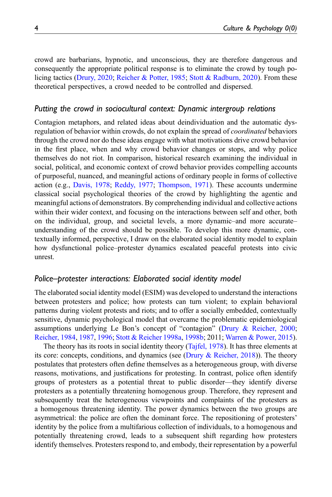crowd are barbarians, hypnotic, and unconscious, they are therefore dangerous and consequently the appropriate political response is to eliminate the crowd by tough policing tactics ([Drury, 2020](#page-16-0); [Reicher & Potter, 1985](#page-18-4); [Stott & Radburn, 2020\)](#page-18-5). From these theoretical perspectives, a crowd needed to be controlled and dispersed.

#### Putting the crowd in sociocultural context: Dynamic intergroup relations

Contagion metaphors, and related ideas about deindividuation and the automatic dysregulation of behavior within crowds, do not explain the spread of *coordinated* behaviors through the crowd nor do these ideas engage with what motivations drive crowd behavior in the first place, when and why crowd behavior changes or stops, and why police themselves do not riot. In comparison, historical research examining the individual in social, political, and economic context of crowd behavior provides compelling accounts of purposeful, nuanced, and meaningful actions of ordinary people in forms of collective action (e.g., [Davis, 1978;](#page-16-10) [Reddy, 1977](#page-17-3); [Thompson, 1971](#page-18-6)). These accounts undermine classical social psychological theories of the crowd by highlighting the agentic and meaningful actions of demonstrators. By comprehending individual and collective actions within their wider context, and focusing on the interactions between self and other, both on the individual, group, and societal levels, a more dynamic–and more accurate– understanding of the crowd should be possible. To develop this more dynamic, contextually informed, perspective, I draw on the elaborated social identity model to explain how dysfunctional police–protester dynamics escalated peaceful protests into civic unrest.

#### Police–protester interactions: Elaborated social identity model

The elaborated social identity model (ESIM) was developed to understand the interactions between protesters and police; how protests can turn violent; to explain behavioral patterns during violent protests and riots; and to offer a socially embedded, contextually sensitive, dynamic psychological model that overcame the problematic epidemiological assumptions underlying Le Bon's concept of "contagion" [\(Drury & Reicher, 2000;](#page-16-5) [Reicher, 1984,](#page-17-1) [1987](#page-17-4), [1996;](#page-17-5) [Stott & Reicher 1998a,](#page-18-7) [1998b](#page-18-8); 2011; [Warren & Power, 2015\)](#page-19-1).

The theory has its roots in social identity theory ([Tajfel, 1978](#page-18-9)). It has three elements at its core: concepts, conditions, and dynamics (see (Drury  $\&$  Reicher, 2018)). The theory postulates that protesters often define themselves as a heterogeneous group, with diverse reasons, motivations, and justifications for protesting. In contrast, police often identify groups of protesters as a potential threat to public disorder—they identify diverse protesters as a potentially threatening homogenous group. Therefore, they represent and subsequently treat the heterogeneous viewpoints and complaints of the protesters as a homogenous threatening identity. The power dynamics between the two groups are asymmetrical: the police are often the dominant force. The repositioning of protesters' identity by the police from a multifarious collection of individuals, to a homogenous and potentially threatening crowd, leads to a subsequent shift regarding how protesters identify themselves. Protesters respond to, and embody, their representation by a powerful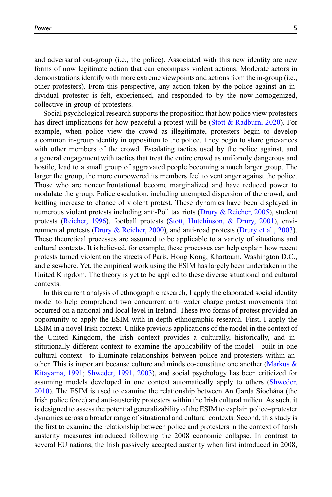and adversarial out-group (i.e., the police). Associated with this new identity are new forms of now legitimate action that can encompass violent actions. Moderate actors in demonstrations identify with more extreme viewpoints and actions from the in-group (i.e., other protesters). From this perspective, any action taken by the police against an individual protester is felt, experienced, and responded to by the now-homogenized, collective in-group of protesters.

Social psychological research supports the proposition that how police view protesters has direct implications for how peaceful a protest will be ([Stott & Radburn, 2020\)](#page-18-5). For example, when police view the crowd as illegitimate, protesters begin to develop a common in-group identity in opposition to the police. They begin to share grievances with other members of the crowd. Escalating tactics used by the police against, and a general engagement with tactics that treat the entire crowd as uniformly dangerous and hostile, lead to a small group of aggravated people becoming a much larger group. The larger the group, the more empowered its members feel to vent anger against the police. Those who are nonconfrontational become marginalized and have reduced power to modulate the group. Police escalation, including attempted dispersion of the crowd, and kettling increase to chance of violent protest. These dynamics have been displayed in numerous violent protests including anti-Poll tax riots ([Drury & Reicher, 2005](#page-16-12)), student protests [\(Reicher, 1996\)](#page-17-5), football protests [\(Stott, Hutchinson, & Drury, 2001\)](#page-18-10), environmental protests ([Drury & Reicher, 2000](#page-16-5)), and anti-road protests [\(Drury et al., 2003\)](#page-16-13). These theoretical processes are assumed to be applicable to a variety of situations and cultural contexts. It is believed, for example, these processes can help explain how recent protests turned violent on the streets of Paris, Hong Kong, Khartoum, Washington D.C., and elsewhere. Yet, the empirical work using the ESIM has largely been undertaken in the United Kingdom. The theory is yet to be applied to these diverse situational and cultural contexts.

In this current analysis of ethnographic research, I apply the elaborated social identity model to help comprehend two concurrent anti–water charge protest movements that occurred on a national and local level in Ireland. These two forms of protest provided an opportunity to apply the ESIM with in-depth ethnographic research. First, I apply the ESIM in a novel Irish context. Unlike previous applications of the model in the context of the United Kingdom, the Irish context provides a culturally, historically, and institutionally different context to examine the applicability of the model—built in one cultural context—to illuminate relationships between police and protesters within another. This is important because culture and minds co-constitute one another ([Markus &](#page-17-6) [Kitayama, 1991](#page-17-6); [Shweder, 1991,](#page-18-11) [2003\)](#page-18-12), and social psychology has been criticized for assuming models developed in one context automatically apply to others [\(Shweder,](#page-18-13)  $2010$ ). The ESIM is used to examine the relationship between An Garda Síochána (the Irish police force) and anti-austerity protesters within the Irish cultural milieu. As such, it is designed to assess the potential generalizability of the ESIM to explain police–protester dynamics across a broader range of situational and cultural contexts. Second, this study is the first to examine the relationship between police and protesters in the context of harsh austerity measures introduced following the 2008 economic collapse. In contrast to several EU nations, the Irish passively accepted austerity when first introduced in 2008,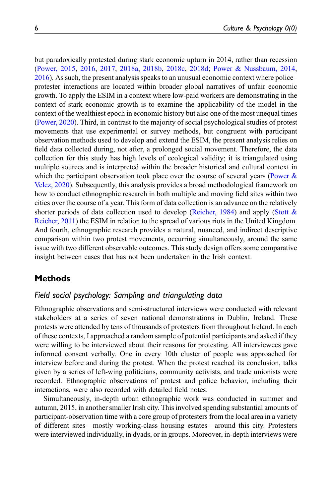but paradoxically protested during stark economic upturn in 2014, rather than recession [\(Power, 2015,](#page-17-7) [2016](#page-17-8), [2017](#page-17-9), [2018a](#page-17-10), [2018b,](#page-17-11) [2018c](#page-17-12), [2018d;](#page-17-13) [Power & Nussbaum, 2014,](#page-17-14) [2016\)](#page-17-15). As such, the present analysis speaks to an unusual economic context where police– protester interactions are located within broader global narratives of unfair economic growth. To apply the ESIM in a context where low-paid workers are demonstrating in the context of stark economic growth is to examine the applicability of the model in the context of the wealthiest epoch in economic history but also one of the most unequal times [\(Power, 2020\)](#page-17-16). Third, in contrast to the majority of social psychological studies of protest movements that use experimental or survey methods, but congruent with participant observation methods used to develop and extend the ESIM, the present analysis relies on field data collected during, not after, a prolonged social movement. Therefore, the data collection for this study has high levels of ecological validity; it is triangulated using multiple sources and is interpreted within the broader historical and cultural context in which the participant observation took place over the course of several years (Power  $\&$ [Velez, 2020\)](#page-17-17). Subsequently, this analysis provides a broad methodological framework on how to conduct ethnographic research in both multiple and moving field sites within two cities over the course of a year. This form of data collection is an advance on the relatively shorter periods of data collection used to develop ([Reicher, 1984](#page-17-1)) and apply [\(Stott &](#page-18-14) [Reicher, 2011\)](#page-18-14) the ESIM in relation to the spread of various riots in the United Kingdom. And fourth, ethnographic research provides a natural, nuanced, and indirect descriptive comparison within two protest movements, occurring simultaneously, around the same issue with two different observable outcomes. This study design offers some comparative insight between cases that has not been undertaken in the Irish context.

# **Methods**

# Field social psychology: Sampling and triangulating data

Ethnographic observations and semi-structured interviews were conducted with relevant stakeholders at a series of seven national demonstrations in Dublin, Ireland. These protests were attended by tens of thousands of protesters from throughout Ireland. In each of these contexts, I approached a random sample of potential participants and asked if they were willing to be interviewed about their reasons for protesting. All interviewees gave informed consent verbally. One in every 10th cluster of people was approached for interview before and during the protest. When the protest reached its conclusion, talks given by a series of left-wing politicians, community activists, and trade unionists were recorded. Ethnographic observations of protest and police behavior, including their interactions, were also recorded with detailed field notes.

Simultaneously, in-depth urban ethnographic work was conducted in summer and autumn, 2015, in another smaller Irish city. This involved spending substantial amounts of participant-observation time with a core group of protesters from the local area in a variety of different sites—mostly working-class housing estates—around this city. Protesters were interviewed individually, in dyads, or in groups. Moreover, in-depth interviews were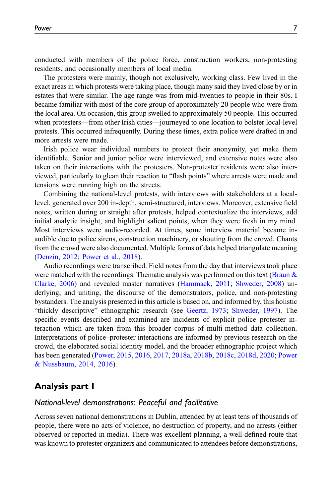conducted with members of the police force, construction workers, non-protesting residents, and occasionally members of local media.

The protesters were mainly, though not exclusively, working class. Few lived in the exact areas in which protests were taking place, though many said they lived close by or in estates that were similar. The age range was from mid-twenties to people in their 80s. I became familiar with most of the core group of approximately 20 people who were from the local area. On occasion, this group swelled to approximately 50 people. This occurred when protesters—from other Irish cities—journeyed to one location to bolster local-level protests. This occurred infrequently. During these times, extra police were drafted in and more arrests were made.

Irish police wear individual numbers to protect their anonymity, yet make them identifiable. Senior and junior police were interviewed, and extensive notes were also taken on their interactions with the protesters. Non-protester residents were also interviewed, particularly to glean their reaction to "flash points" where arrests were made and tensions were running high on the streets.

Combining the national-level protests, with interviews with stakeholders at a locallevel, generated over 200 in-depth, semi-structured, interviews. Moreover, extensive field notes, written during or straight after protests, helped contextualize the interviews, add initial analytic insight, and highlight salient points, when they were fresh in my mind. Most interviews were audio-recorded. At times, some interview material became inaudible due to police sirens, construction machinery, or shouting from the crowd. Chants from the crowd were also documented. Multiple forms of data helped triangulate meaning [\(Denzin, 2012;](#page-16-14) [Power et al., 2018\)](#page-17-18).

Audio recordings were transcribed. Field notes from the day that interviews took place were matched with the recordings. Thematic analysis was performed on this text (Braun  $\&$ [Clarke, 2006](#page-15-2)) and revealed master narratives [\(Hammack, 2011](#page-16-15); [Shweder, 2008](#page-18-15)) underlying, and uniting, the discourse of the demonstrators, police, and non-protesting bystanders. The analysis presented in this article is based on, and informed by, this holistic "thickly descriptive" ethnographic research (see [Geertz, 1973;](#page-16-1) [Shweder, 1997](#page-18-16)). The specific events described and examined are incidents of explicit police–protester interaction which are taken from this broader corpus of multi-method data collection. Interpretations of police–protester interactions are informed by previous research on the crowd, the elaborated social identity model, and the broader ethnographic project which has been generated ([Power, 2015](#page-17-7), [2016,](#page-17-8) [2017,](#page-17-9) [2018a](#page-17-10), [2018b](#page-17-11), [2018c,](#page-17-12) [2018d,](#page-17-13) [2020](#page-17-16); [Power](#page-17-14) [& Nussbaum, 2014,](#page-17-14) [2016](#page-17-15)).

# Analysis part I

#### National-level demonstrations: Peaceful and facilitative

Across seven national demonstrations in Dublin, attended by at least tens of thousands of people, there were no acts of violence, no destruction of property, and no arrests (either observed or reported in media). There was excellent planning, a well-defined route that was known to protester organizers and communicated to attendees before demonstrations,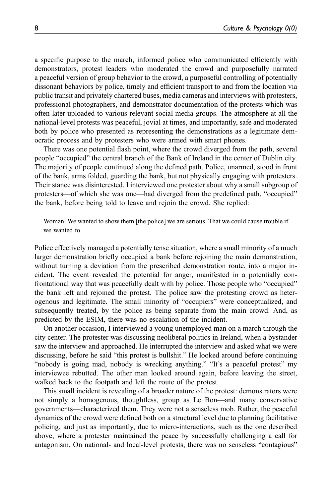a specific purpose to the march, informed police who communicated efficiently with demonstrators, protest leaders who moderated the crowd and purposefully narrated a peaceful version of group behavior to the crowd, a purposeful controlling of potentially dissonant behaviors by police, timely and efficient transport to and from the location via public transit and privately chartered buses, media cameras and interviews with protesters, professional photographers, and demonstrator documentation of the protests which was often later uploaded to various relevant social media groups. The atmosphere at all the national-level protests was peaceful, jovial at times, and importantly, safe and moderated both by police who presented as representing the demonstrations as a legitimate democratic process and by protesters who were armed with smart phones.

There was one potential flash point, where the crowd diverged from the path, several people "occupied" the central branch of the Bank of Ireland in the center of Dublin city. The majority of people continued along the defined path. Police, unarmed, stood in front of the bank, arms folded, guarding the bank, but not physically engaging with protesters. Their stance was disinterested. I interviewed one protester about why a small subgroup of protesters—of which she was one—had diverged from the predefined path, "occupied" the bank, before being told to leave and rejoin the crowd. She replied:

Woman: We wanted to show them [the police] we are serious. That we could cause trouble if we wanted to.

Police effectively managed a potentially tense situation, where a small minority of a much larger demonstration briefly occupied a bank before rejoining the main demonstration, without turning a deviation from the prescribed demonstration route, into a major incident. The event revealed the potential for anger, manifested in a potentially confrontational way that was peacefully dealt with by police. Those people who "occupied" the bank left and rejoined the protest. The police saw the protesting crowd as heterogenous and legitimate. The small minority of "occupiers" were conceptualized, and subsequently treated, by the police as being separate from the main crowd. And, as predicted by the ESIM, there was no escalation of the incident.

On another occasion, I interviewed a young unemployed man on a march through the city center. The protester was discussing neoliberal politics in Ireland, when a bystander saw the interview and approached. He interrupted the interview and asked what we were discussing, before he said "this protest is bullshit." He looked around before continuing "nobody is going mad, nobody is wrecking anything." "It's a peaceful protest" my interviewee rebutted. The other man looked around again, before leaving the street, walked back to the footpath and left the route of the protest.

This small incident is revealing of a broader nature of the protest: demonstrators were not simply a homogenous, thoughtless, group as Le Bon—and many conservative governments—characterized them. They were not a senseless mob. Rather, the peaceful dynamics of the crowd were defined both on a structural level due to planning facilitative policing, and just as importantly, due to micro-interactions, such as the one described above, where a protester maintained the peace by successfully challenging a call for antagonism. On national- and local-level protests, there was no senseless "contagious"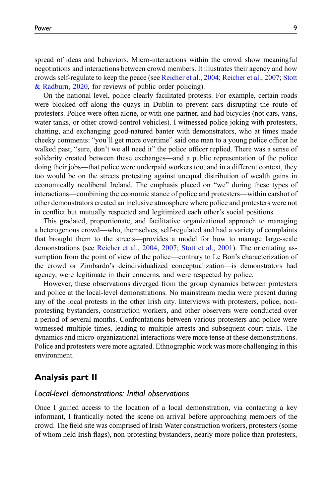spread of ideas and behaviors. Micro-interactions within the crowd show meaningful negotiations and interactions between crowd members. It illustrates their agency and how crowds self-regulate to keep the peace (see [Reicher et al., 2004;](#page-18-17) [Reicher et al., 2007;](#page-18-18) [Stott](#page-18-5) [& Radburn, 2020](#page-18-5), for reviews of public order policing).

On the national level, police clearly facilitated protests. For example, certain roads were blocked off along the quays in Dublin to prevent cars disrupting the route of protesters. Police were often alone, or with one partner, and had bicycles (not cars, vans, water tanks, or other crowd-control vehicles). I witnessed police joking with protesters, chatting, and exchanging good-natured banter with demonstrators, who at times made cheeky comments: "you'll get more overtime" said one man to a young police officer he walked past; "sure, don't we all need it" the police officer replied. There was a sense of solidarity created between these exchanges—and a public representation of the police doing their jobs—that police were underpaid workers too, and in a different context, they too would be on the streets protesting against unequal distribution of wealth gains in economically neoliberal Ireland. The emphasis placed on "we" during these types of interactions—combining the economic stance of police and protesters—within earshot of other demonstrators created an inclusive atmosphere where police and protesters were not in conflict but mutually respected and legitimized each other's social positions.

This gradated, proportionate, and facilitative organizational approach to managing a heterogenous crowd—who, themselves, self-regulated and had a variety of complaints that brought them to the streets—provides a model for how to manage large-scale demonstrations (see [Reicher et al., 2004,](#page-18-17) [2007;](#page-18-18) [Stott et al., 2001](#page-18-10)). The orientating assumption from the point of view of the police—contrary to Le Bon's characterization of the crowd or Zimbardo's deindividualized conceptualization—is demonstrators had agency, were legitimate in their concerns, and were respected by police.

However, these observations diverged from the group dynamics between protesters and police at the local-level demonstrations. No mainstream media were present during any of the local protests in the other Irish city. Interviews with protesters, police, nonprotesting bystanders, construction workers, and other observers were conducted over a period of several months. Confrontations between various protesters and police were witnessed multiple times, leading to multiple arrests and subsequent court trials. The dynamics and micro-organizational interactions were more tense at these demonstrations. Police and protesters were more agitated. Ethnographic work was more challenging in this environment.

# Analysis part II

#### Local-level demonstrations: Initial observations

Once I gained access to the location of a local demonstration, via contacting a key informant, I frantically noted the scene on arrival before approaching members of the crowd. The field site was comprised of Irish Water construction workers, protesters (some of whom held Irish flags), non-protesting bystanders, nearly more police than protesters,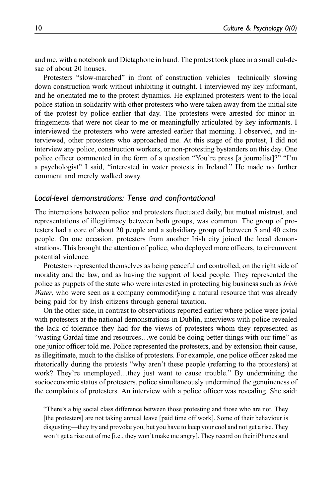and me, with a notebook and Dictaphone in hand. The protest took place in a small cul-desac of about 20 houses.

Protesters "slow-marched" in front of construction vehicles—technically slowing down construction work without inhibiting it outright. I interviewed my key informant, and he orientated me to the protest dynamics. He explained protesters went to the local police station in solidarity with other protesters who were taken away from the initial site of the protest by police earlier that day. The protesters were arrested for minor infringements that were not clear to me or meaningfully articulated by key informants. I interviewed the protesters who were arrested earlier that morning. I observed, and interviewed, other protesters who approached me. At this stage of the protest, I did not interview any police, construction workers, or non-protesting bystanders on this day. One police officer commented in the form of a question "You're press [a journalist]?" "I'm a psychologist" I said, "interested in water protests in Ireland." He made no further comment and merely walked away.

#### Local-level demonstrations: Tense and confrontational

The interactions between police and protesters fluctuated daily, but mutual mistrust, and representations of illegitimacy between both groups, was common. The group of protesters had a core of about 20 people and a subsidiary group of between 5 and 40 extra people. On one occasion, protesters from another Irish city joined the local demonstrations. This brought the attention of police, who deployed more officers, to circumvent potential violence.

Protesters represented themselves as being peaceful and controlled, on the right side of morality and the law, and as having the support of local people. They represented the police as puppets of the state who were interested in protecting big business such as Irish Water, who were seen as a company commodifying a natural resource that was already being paid for by Irish citizens through general taxation.

On the other side, in contrast to observations reported earlier where police were jovial with protesters at the national demonstrations in Dublin, interviews with police revealed the lack of tolerance they had for the views of protesters whom they represented as "wasting Gardaí time and resources...we could be doing better things with our time" as one junior officer told me. Police represented the protesters, and by extension their cause, as illegitimate, much to the dislike of protesters. For example, one police officer asked me rhetorically during the protests "why aren't these people (referring to the protesters) at work? They're unemployed...they just want to cause trouble." By undermining the socioeconomic status of protesters, police simultaneously undermined the genuineness of the complaints of protesters. An interview with a police officer was revealing. She said:

"There's a big social class difference between those protesting and those who are not. They [the protesters] are not taking annual leave [paid time off work]. Some of their behaviour is disgusting—they try and provoke you, but you have to keep your cool and not get a rise. They won't get a rise out of me [i.e., they won't make me angry]. They record on their iPhones and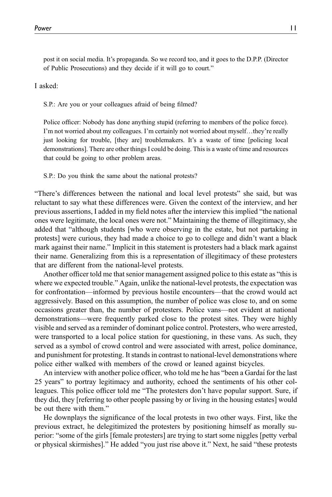post it on social media. It's propaganda. So we record too, and it goes to the D.P.P. (Director of Public Prosecutions) and they decide if it will go to court."

I asked:

S.P.: Are you or your colleagues afraid of being filmed?

Police officer: Nobody has done anything stupid (referring to members of the police force). I'm not worried about my colleagues. I'm certainly not worried about myself…they're really just looking for trouble, [they are] troublemakers. It's a waste of time [policing local demonstrations]. There are other things I could be doing. This is a waste of time and resources that could be going to other problem areas.

S.P.: Do you think the same about the national protests?

"There's differences between the national and local level protests" she said, but was reluctant to say what these differences were. Given the context of the interview, and her previous assertions, I added in my field notes after the interview this implied "the national ones were legitimate, the local ones were not." Maintaining the theme of illegitimacy, she added that "although students [who were observing in the estate, but not partaking in protests] were curious, they had made a choice to go to college and didn't want a black mark against their name." Implicit in this statement is protesters had a black mark against their name. Generalizing from this is a representation of illegitimacy of these protesters that are different from the national-level protests.

Another officer told me that senior management assigned police to this estate as "this is where we expected trouble." Again, unlike the national-level protests, the expectation was for confrontation—informed by previous hostile encounters—that the crowd would act aggressively. Based on this assumption, the number of police was close to, and on some occasions greater than, the number of protesters. Police vans—not evident at national demonstrations—were frequently parked close to the protest sites. They were highly visible and served as a reminder of dominant police control. Protesters, who were arrested, were transported to a local police station for questioning, in these vans. As such, they served as a symbol of crowd control and were associated with arrest, police dominance, and punishment for protesting. It stands in contrast to national-level demonstrations where police either walked with members of the crowd or leaned against bicycles.

An interview with another police officer, who told me he has "been a Garda's for the last 25 years" to portray legitimacy and authority, echoed the sentiments of his other colleagues. This police officer told me "The protesters don't have popular support. Sure, if they did, they [referring to other people passing by or living in the housing estates] would be out there with them."

He downplays the significance of the local protests in two other ways. First, like the previous extract, he delegitimized the protesters by positioning himself as morally superior: "some of the girls [female protesters] are trying to start some niggles [petty verbal or physical skirmishes]." He added "you just rise above it." Next, he said "these protests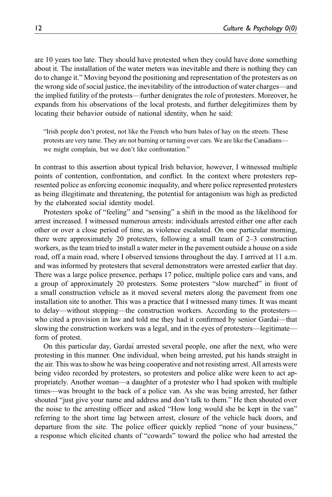are 10 years too late. They should have protested when they could have done something about it. The installation of the water meters was inevitable and there is nothing they can do to change it." Moving beyond the positioning and representation of the protesters as on the wrong side of social justice, the inevitability of the introduction of water charges—and the implied futility of the protests—further denigrates the role of protesters. Moreover, he expands from his observations of the local protests, and further delegitimizes them by locating their behavior outside of national identity, when he said:

"Irish people don't protest, not like the French who burn bales of hay on the streets. These protests are very tame. They are not burning or turning over cars. We are like the Canadians we might complain, but we don't like confrontation."

In contrast to this assertion about typical Irish behavior, however, I witnessed multiple points of contention, confrontation, and conflict. In the context where protesters represented police as enforcing economic inequality, and where police represented protesters as being illegitimate and threatening, the potential for antagonism was high as predicted by the elaborated social identity model.

Protesters spoke of "feeling" and "sensing" a shift in the mood as the likelihood for arrest increased. I witnessed numerous arrests: individuals arrested either one after each other or over a close period of time, as violence escalated. On one particular morning, there were approximately 20 protesters, following a small team of 2–3 construction workers, as the team tried to install a water meter in the pavement outside a house on a side road, off a main road, where I observed tensions throughout the day. I arrived at 11 a.m. and was informed by protesters that several demonstrators were arrested earlier that day. There was a large police presence, perhaps 17 police, multiple police cars and vans, and a group of approximately 20 protesters. Some protesters "slow marched" in front of a small construction vehicle as it moved several meters along the pavement from one installation site to another. This was a practice that I witnessed many times. It was meant to delay—without stopping—the construction workers. According to the protesters who cited a provision in law and told me they had it confirmed by senior Garda<sup>*i*—that</sup> slowing the construction workers was a legal, and in the eyes of protesters—legitimate form of protest.

On this particular day, Garda´ı arrested several people, one after the next, who were protesting in this manner. One individual, when being arrested, put his hands straight in the air. This was to show he was being cooperative and not resisting arrest. All arrests were being video recorded by protesters, so protesters and police alike were keen to act appropriately. Another woman—a daughter of a protester who I had spoken with multiple times—was brought to the back of a police van. As she was being arrested, her father shouted "just give your name and address and don't talk to them." He then shouted over the noise to the arresting officer and asked "How long would she be kept in the van" referring to the short time lag between arrest, closure of the vehicle back doors, and departure from the site. The police officer quickly replied "none of your business," a response which elicited chants of "cowards" toward the police who had arrested the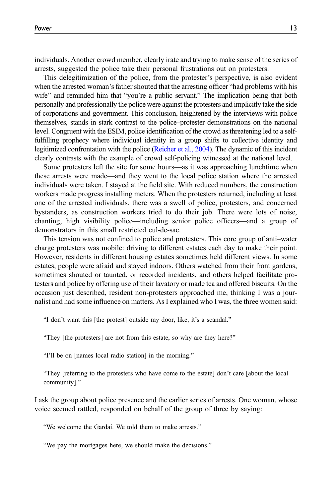individuals. Another crowd member, clearly irate and trying to make sense of the series of arrests, suggested the police take their personal frustrations out on protesters.

This delegitimization of the police, from the protester's perspective, is also evident when the arrested woman's father shouted that the arresting officer "had problems with his wife" and reminded him that "you're a public servant." The implication being that both personally and professionally the police were against the protesters and implicitly take the side of corporations and government. This conclusion, heightened by the interviews with police themselves, stands in stark contrast to the police–protester demonstrations on the national level. Congruent with the ESIM, police identification of the crowd as threatening led to a selffulfilling prophecy where individual identity in a group shifts to collective identity and legitimized confrontation with the police [\(Reicher et al., 2004](#page-18-17)). The dynamic of this incident clearly contrasts with the example of crowd self-policing witnessed at the national level.

Some protesters left the site for some hours—as it was approaching lunchtime when these arrests were made—and they went to the local police station where the arrested individuals were taken. I stayed at the field site. With reduced numbers, the construction workers made progress installing meters. When the protesters returned, including at least one of the arrested individuals, there was a swell of police, protesters, and concerned bystanders, as construction workers tried to do their job. There were lots of noise, chanting, high visibility police—including senior police officers—and a group of demonstrators in this small restricted cul-de-sac.

This tension was not confined to police and protesters. This core group of anti–water charge protesters was mobile: driving to different estates each day to make their point. However, residents in different housing estates sometimes held different views. In some estates, people were afraid and stayed indoors. Others watched from their front gardens, sometimes shouted or taunted, or recorded incidents, and others helped facilitate protesters and police by offering use of their lavatory or made tea and offered biscuits. On the occasion just described, resident non-protesters approached me, thinking I was a journalist and had some influence on matters. As I explained who I was, the three women said:

"I don't want this [the protest] outside my door, like, it's a scandal."

"They [the protesters] are not from this estate, so why are they here?"

"I'll be on [names local radio station] in the morning."

"They [referring to the protesters who have come to the estate] don't care [about the local community]."

I ask the group about police presence and the earlier series of arrests. One woman, whose voice seemed rattled, responded on behalf of the group of three by saying:

"We welcome the Gardaí. We told them to make arrests."

"We pay the mortgages here, we should make the decisions."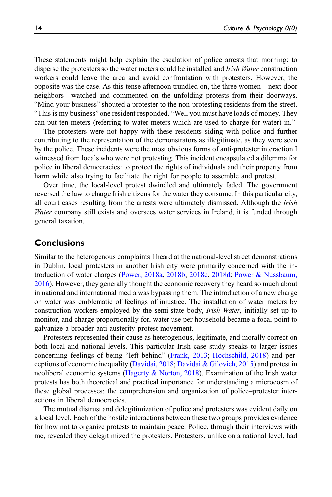These statements might help explain the escalation of police arrests that morning: to disperse the protesters so the water meters could be installed and Irish Water construction workers could leave the area and avoid confrontation with protesters. However, the opposite was the case. As this tense afternoon trundled on, the three women—next-door neighbors—watched and commented on the unfolding protests from their doorways. "Mind your business" shouted a protester to the non-protesting residents from the street. "This is my business" one resident responded. "Well you must have loads of money. They can put ten meters (referring to water meters which are used to charge for water) in."

The protesters were not happy with these residents siding with police and further contributing to the representation of the demonstrators as illegitimate, as they were seen by the police. These incidents were the most obvious forms of anti-protester interaction I witnessed from locals who were not protesting. This incident encapsulated a dilemma for police in liberal democracies: to protect the rights of individuals and their property from harm while also trying to facilitate the right for people to assemble and protest.

Over time, the local-level protest dwindled and ultimately faded. The government reversed the law to charge Irish citizens for the water they consume. In this particular city, all court cases resulting from the arrests were ultimately dismissed. Although the *Irish* Water company still exists and oversees water services in Ireland, it is funded through general taxation.

### **Conclusions**

Similar to the heterogenous complaints I heard at the national-level street demonstrations in Dublin, local protesters in another Irish city were primarily concerned with the introduction of water charges ([Power, 2018a,](#page-17-10) [2018b](#page-17-11), [2018c,](#page-17-12) [2018d](#page-17-13); [Power & Nussbaum,](#page-17-15) [2016\)](#page-17-15). However, they generally thought the economic recovery they heard so much about in national and international media was bypassing them. The introduction of a new charge on water was emblematic of feelings of injustice. The installation of water meters by construction workers employed by the semi-state body, *Irish Water*, initially set up to monitor, and charge proportionally for, water use per household became a focal point to galvanize a broader anti-austerity protest movement.

Protesters represented their cause as heterogenous, legitimate, and morally correct on both local and national levels. This particular Irish case study speaks to larger issues concerning feelings of being "left behind" [\(Frank, 2013;](#page-16-16) [Hochschild, 2018](#page-16-17)) and perceptions of economic inequality [\(Davidai, 2018;](#page-16-18) [Davidai & Gilovich, 2015](#page-16-19)) and protest in neoliberal economic systems ([Hagerty & Norton, 2018\)](#page-16-20). Examination of the Irish water protests has both theoretical and practical importance for understanding a microcosm of these global processes: the comprehension and organization of police–protester interactions in liberal democracies.

The mutual distrust and delegitimization of police and protesters was evident daily on a local level. Each of the hostile interactions between these two groups provides evidence for how not to organize protests to maintain peace. Police, through their interviews with me, revealed they delegitimized the protesters. Protesters, unlike on a national level, had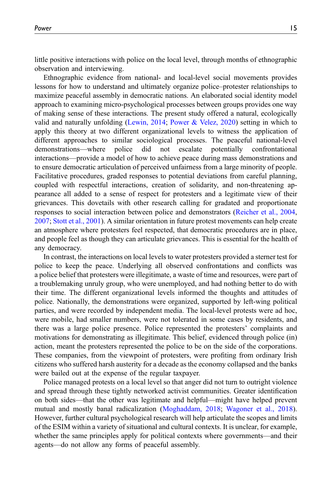little positive interactions with police on the local level, through months of ethnographic observation and interviewing.

Ethnographic evidence from national- and local-level social movements provides lessons for how to understand and ultimately organize police–protester relationships to maximize peaceful assembly in democratic nations. An elaborated social identity model approach to examining micro-psychological processes between groups provides one way of making sense of these interactions. The present study offered a natural, ecologically valid and naturally unfolding ([Lewin, 2014;](#page-16-21) [Power & Velez, 2020](#page-17-17)) setting in which to apply this theory at two different organizational levels to witness the application of different approaches to similar sociological processes. The peaceful national-level demonstrations—where police did not escalate potentially confrontational interactions—provide a model of how to achieve peace during mass demonstrations and to ensure democratic articulation of perceived unfairness from a large minority of people. Facilitative procedures, graded responses to potential deviations from careful planning, coupled with respectful interactions, creation of solidarity, and non-threatening appearance all added to a sense of respect for protesters and a legitimate view of their grievances. This dovetails with other research calling for gradated and proportionate responses to social interaction between police and demonstrators [\(Reicher et al., 2004,](#page-18-17) [2007;](#page-18-18) [Stott et al., 2001\)](#page-18-10). A similar orientation in future protest movements can help create an atmosphere where protesters feel respected, that democratic procedures are in place, and people feel as though they can articulate grievances. This is essential for the health of any democracy.

In contrast, the interactions on local levels to water protesters provided a sterner test for police to keep the peace. Underlying all observed confrontations and conflicts was a police belief that protesters were illegitimate, a waste of time and resources, were part of a troublemaking unruly group, who were unemployed, and had nothing better to do with their time. The different organizational levels informed the thoughts and attitudes of police. Nationally, the demonstrations were organized, supported by left-wing political parties, and were recorded by independent media. The local-level protests were ad hoc, were mobile, had smaller numbers, were not tolerated in some cases by residents, and there was a large police presence. Police represented the protesters' complaints and motivations for demonstrating as illegitimate. This belief, evidenced through police (in) action, meant the protesters represented the police to be on the side of the corporations. These companies, from the viewpoint of protesters, were profiting from ordinary Irish citizens who suffered harsh austerity for a decade as the economy collapsed and the banks were bailed out at the expense of the regular taxpayer.

Police managed protests on a local level so that anger did not turn to outright violence and spread through these tightly networked activist communities. Greater identification on both sides—that the other was legitimate and helpful—might have helped prevent mutual and mostly banal radicalization ([Moghaddam, 2018](#page-17-19); [Wagoner et al., 2018\)](#page-18-1). However, further cultural psychological research will help articulate the scopes and limits of the ESIM within a variety of situational and cultural contexts. It is unclear, for example, whether the same principles apply for political contexts where governments—and their agents—do not allow any forms of peaceful assembly.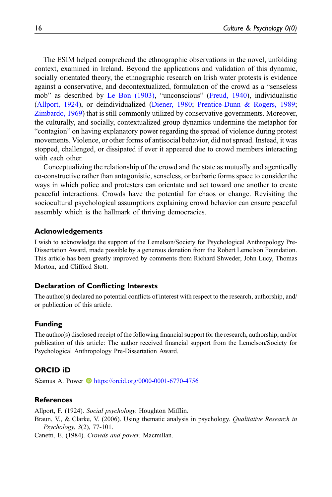The ESIM helped comprehend the ethnographic observations in the novel, unfolding context, examined in Ireland. Beyond the applications and validation of this dynamic, socially orientated theory, the ethnographic research on Irish water protests is evidence against a conservative, and decontextualized, formulation of the crowd as a "senseless mob" as described by [Le Bon \(1903\),](#page-16-3) "unconscious" ([Freud, 1940](#page-16-7)), individualistic [\(Allport, 1924\)](#page-15-1), or deindividualized [\(Diener, 1980;](#page-16-8) [Prentice-Dunn & Rogers, 1989;](#page-17-2) [Zimbardo, 1969\)](#page-19-0) that is still commonly utilized by conservative governments. Moreover, the culturally, and socially, contextualized group dynamics undermine the metaphor for "contagion" on having explanatory power regarding the spread of violence during protest movements. Violence, or other forms of antisocial behavior, did not spread. Instead, it was stopped, challenged, or dissipated if ever it appeared due to crowd members interacting with each other.

Conceptualizing the relationship of the crowd and the state as mutually and agentically co-constructive rather than antagonistic, senseless, or barbaric forms space to consider the ways in which police and protesters can orientate and act toward one another to create peaceful interactions. Crowds have the potential for chaos or change. Revisiting the sociocultural psychological assumptions explaining crowd behavior can ensure peaceful assembly which is the hallmark of thriving democracies.

#### Acknowledgements

I wish to acknowledge the support of the Lemelson/Society for Psychological Anthropology Pre-Dissertation Award, made possible by a generous donation from the Robert Lemelson Foundation. This article has been greatly improved by comments from Richard Shweder, John Lucy, Thomas Morton, and Clifford Stott.

#### Declaration of Conflicting Interests

The author(s) declared no potential conflicts of interest with respect to the research, authorship, and/ or publication of this article.

#### Funding

The author(s) disclosed receipt of the following financial support for the research, authorship, and/or publication of this article: The author received financial support from the Lemelson/Society for Psychological Anthropology Pre-Dissertation Award.

#### ORCID iD

Séamus A. Power  $\bullet$  <https://orcid.org/0000-0001-6770-4756>

#### **References**

<span id="page-15-2"></span><span id="page-15-1"></span>Allport, F. (1924). Social psychology. Houghton Mifflin. Braun, V., & Clarke, V. (2006). Using thematic analysis in psychology. Qualitative Research in Psychology, 3(2), 77-101.

<span id="page-15-0"></span>Canetti, E. (1984). Crowds and power. Macmillan.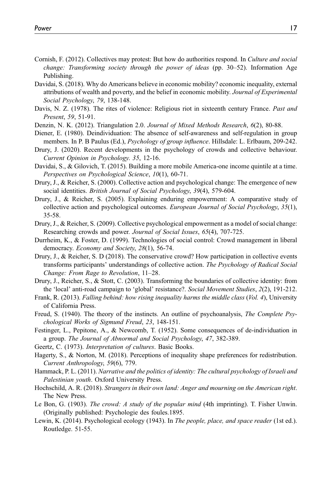- <span id="page-16-4"></span>Cornish, F. (2012). Collectives may protest: But how do authorities respond. In Culture and social change: Transforming society through the power of ideas (pp. 30–52). Information Age Publishing.
- <span id="page-16-18"></span>Davidai, S. (2018). Why do Americans believe in economic mobility? economic inequality, external attributions of wealth and poverty, and the belief in economic mobility. Journal of Experimental Social Psychology, 79, 138-148.
- <span id="page-16-10"></span>Davis, N. Z. (1978). The rites of violence: Religious riot in sixteenth century France. Past and Present, 59, 51-91.
- <span id="page-16-14"></span>Denzin, N. K. (2012). Triangulation 2.0. Journal of Mixed Methods Research, 6(2), 80-88.
- <span id="page-16-8"></span>Diener, E. (1980). Deindividuation: The absence of self-awareness and self-regulation in group members. In P. B Paulus (Ed.), *Psychology of group influence*. Hillsdale: L. Erlbaum, 209-242.
- <span id="page-16-0"></span>Drury, J. (2020). Recent developments in the psychology of crowds and collective behaviour. Current Opinion in Psychology. 35, 12-16.
- <span id="page-16-19"></span>Davidai, S., & Gilovich, T. (2015). Building a more mobile America-one income quintile at a time. Perspectives on Psychological Science, 10(1), 60-71.
- <span id="page-16-5"></span>Drury, J., & Reicher, S. (2000). Collective action and psychological change: The emergence of new social identities. British Journal of Social Psychology, 39(4), 579-604.
- <span id="page-16-12"></span>Drury, J., & Reicher, S. (2005). Explaining enduring empowerment: A comparative study of collective action and psychological outcomes. European Journal of Social Psychology, 35(1), 35-58.
- <span id="page-16-6"></span>Drury, J., & Reicher, S. (2009). Collective psychological empowerment as a model of social change: Researching crowds and power. Journal of Social Issues, 65(4), 707-725.
- <span id="page-16-2"></span>Durrheim, K., & Foster, D. (1999). Technologies of social control: Crowd management in liberal democracy. Economy and Society, 28(1), 56-74.
- <span id="page-16-11"></span>Drury, J., & Reicher, S. D (2018). The conservative crowd? How participation in collective events transforms participants' understandings of collective action. The Psychology of Radical Social Change: From Rage to Revolution, 11–28.
- <span id="page-16-13"></span>Drury, J., Reicher, S., & Stott, C. (2003). Transforming the boundaries of collective identity: from the 'local' anti-road campaign to 'global' resistance?. Social Movement Studies, 2(2), 191-212.
- <span id="page-16-16"></span>Frank, R. (2013). Falling behind: how rising inequality harms the middle class (Vol. 4), University of California Press.
- <span id="page-16-7"></span>Freud, S. (1940). The theory of the instincts. An outline of psychoanalysis, The Complete Psychological Works of Sigmund Freud, 23, 148-151.
- <span id="page-16-9"></span>Festinger, L., Pepitone, A., & Newcomb, T. (1952). Some consequences of de-individuation in a group. The Journal of Abnormal and Social Psychology, 47, 382-389.
- <span id="page-16-1"></span>Geertz, C. (1973). Interpretation of cultures. Basic Books.
- <span id="page-16-20"></span>Hagerty, S., & Norton, M. (2018). Perceptions of inequality shape preferences for redistribution. Current Anthropology, 59(6), 779.
- <span id="page-16-15"></span>Hammack, P. L. (2011). Narrative and the politics of identity: The cultural psychology of Israeli and Palestinian youth. Oxford University Press.
- <span id="page-16-17"></span>Hochschild, A. R. (2018). Strangers in their own land: Anger and mourning on the American right. The New Press.
- <span id="page-16-3"></span>Le Bon, G. (1903). The crowd: A study of the popular mind (4th imprinting). T. Fisher Unwin. (Originally published: Psychologie des foules.1895.
- <span id="page-16-21"></span>Lewin, K. (2014). Psychological ecology (1943). In The people, place, and space reader (1st ed.). Routledge. 51-55.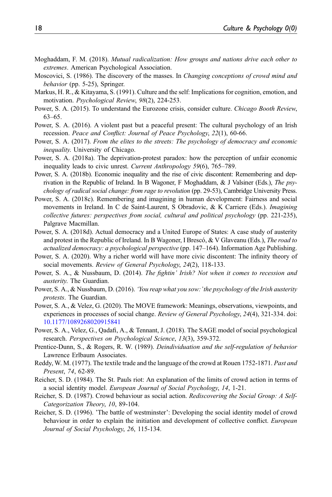- <span id="page-17-19"></span>Moghaddam, F. M. (2018). Mutual radicalization: How groups and nations drive each other to extremes. American Psychological Association.
- <span id="page-17-0"></span>Moscovici, S. (1986). The discovery of the masses. In *Changing conceptions of crowd mind and* behavior (pp. 5-25), Springer.
- <span id="page-17-6"></span>Markus, H. R., & Kitayama, S. (1991). Culture and the self: Implications for cognition, emotion, and motivation. Psychological Review, 98(2), 224-253.
- <span id="page-17-7"></span>Power, S. A. (2015). To understand the Eurozone crisis, consider culture. Chicago Booth Review, 63–65.
- <span id="page-17-8"></span>Power, S. A. (2016). A violent past but a peaceful present: The cultural psychology of an Irish recession. Peace and Conflict: Journal of Peace Psychology, 22(1), 60-66.
- <span id="page-17-9"></span>Power, S. A. (2017). From the elites to the streets: The psychology of democracy and economic inequality. University of Chicago.
- <span id="page-17-13"></span>Power, S. A. (2018a). The deprivation-protest paradox: how the perception of unfair economic inequality leads to civic unrest. Current Anthropology 59(6), 765–789.
- <span id="page-17-11"></span>Power, S. A. (2018b). Economic inequality and the rise of civic discontent: Remembering and deprivation in the Republic of Ireland. In B Wagoner, F Moghaddam, & J Valsiner (Eds.), The psychology of radical social change: from rage to revolution (pp. 29-53), Cambridge University Press.
- <span id="page-17-12"></span>Power, S. A. (2018c). Remembering and imagining in human development: Fairness and social movements in Ireland. In C de Saint-Laurent, S Obradovic, & K Carriere (Eds.). *Imagining* collective futures: perspectives from social, cultural and political psychology (pp. 221-235), Palgrave Macmillan.
- <span id="page-17-10"></span>Power, S. A. (2018d). Actual democracy and a United Europe of States: A case study of austerity and protest in the Republic of Ireland. In B Wagoner, I Brescó, & V Glaveanu (Eds.), The road to actualized democracy: a psychological perspective (pp. 147–164). Information Age Publishing.
- <span id="page-17-16"></span>Power, S. A. (2020). Why a richer world will have more civic discontent: The infinity theory of social movements. Review of General Psychology, 24(2), 118-133.
- <span id="page-17-14"></span>Power, S. A., & Nussbaum, D. (2014). The fightin' Irish? Not when it comes to recession and austerity. The Guardian.
- <span id="page-17-15"></span>Power, S. A., & Nussbaum, D. (2016). 'You reap what you sow:'the psychology of the Irish austerity protests. The Guardian.
- <span id="page-17-17"></span>Power, S. A., & Velez, G. (2020). The MOVE framework: Meanings, observations, viewpoints, and experiences in processes of social change. Review of General Psychology, 24(4), 321-334. doi: [10.1177/1089268020915841](https://doi.org/10.1177/1089268020915841)
- <span id="page-17-18"></span>Power, S. A., Velez, G., Qadafi, A., & Tennant, J. (2018). The SAGE model of social psychological research. Perspectives on Psychological Science, 13(3), 359-372.
- <span id="page-17-2"></span>Prentice-Dunn, S., & Rogers, R. W. (1989). Deindividuation and the self-regulation of behavior Lawrence Erlbaum Associates.
- <span id="page-17-3"></span>Reddy, W. M. (1977). The textile trade and the language of the crowd at Rouen 1752-1871. Past and Present, 74, 62-89.
- <span id="page-17-1"></span>Reicher, S. D. (1984). The St. Pauls riot: An explanation of the limits of crowd action in terms of a social identity model. European Journal of Social Psychology, 14, 1-21.
- <span id="page-17-4"></span>Reicher, S. D. (1987). Crowd behaviour as social action. Rediscovering the Social Group: A Self-Categorization Theory, 10, 89-104.
- <span id="page-17-5"></span>Reicher, S. D. (1996). 'The battle of westminster': Developing the social identity model of crowd behaviour in order to explain the initiation and development of collective conflict. European Journal of Social Psychology, 26, 115-134.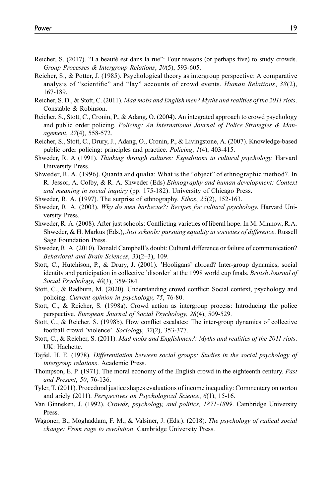- <span id="page-18-3"></span>Reicher, S. (2017). "La beauté est dans la rue": Four reasons (or perhaps five) to study crowds. Group Processes & Intergroup Relations, 20(5), 593-605.
- <span id="page-18-4"></span>Reicher, S., & Potter, J. (1985). Psychological theory as intergroup perspective: A comparative analysis of "scientific" and "lay" accounts of crowd events. Human Relations,  $38(2)$ , 167-189.
- Reicher, S. D., & Stott, C. (2011). Mad mobs and English men? Myths and realities of the 2011 riots. Constable & Robinson.
- <span id="page-18-17"></span>Reicher, S., Stott, C., Cronin, P., & Adang, O. (2004). An integrated approach to crowd psychology and public order policing. Policing: An International Journal of Police Strategies & Management, 27(4), 558-572.
- <span id="page-18-18"></span>Reicher, S., Stott, C., Drury, J., Adang, O., Cronin, P., & Livingstone, A. (2007). Knowledge-based public order policing: principles and practice. Policing, 1(4), 403-415.
- <span id="page-18-11"></span>Shweder, R. A (1991). Thinking through cultures: Expeditions in cultural psychology. Harvard University Press.
- <span id="page-18-2"></span>Shweder, R. A. (1996). Quanta and qualia: What is the "object" of ethnographic method?. In R. Jessor, A. Colby, & R. A. Shweder (Eds) Ethnography and human development: Context and meaning in social inquiry (pp. 175-182). University of Chicago Press.
- <span id="page-18-16"></span>Shweder, R. A. (1997). The surprise of ethnography. Ethos, 25(2), 152-163.
- <span id="page-18-12"></span>Shweder, R. A. (2003). Why do men barbecue?: Recipes for cultural psychology. Harvard University Press.
- <span id="page-18-15"></span>Shweder, R. A. (2008). After just schools: Conflicting varieties of liberal hope. In M. Minnow, R.A. Shweder, & H. Markus (Eds.), Just schools: pursuing equality in societies of difference. Russell Sage Foundation Press.
- <span id="page-18-13"></span>Shweder, R. A. (2010). Donald Campbell's doubt: Cultural difference or failure of communication? Behavioral and Brain Sciences, 33(2–3), 109.
- <span id="page-18-10"></span>Stott, C., Hutchison, P., & Drury, J. (2001). 'Hooligans' abroad? Inter-group dynamics, social identity and participation in collective 'disorder' at the 1998 world cup finals. British Journal of Social Psychology, 40(3), 359-384.
- <span id="page-18-5"></span>Stott, C., & Radburn, M. (2020). Understanding crowd conflict: Social context, psychology and policing. Current opinion in psychology, 75, 76-80.
- <span id="page-18-7"></span>Stott, C., & Reicher, S. (1998a). Crowd action as intergroup process: Introducing the police perspective. European Journal of Social Psychology, 28(4), 509-529.
- <span id="page-18-8"></span>Stott, C., & Reicher, S. (1998b). How conflict escalates: The inter-group dynamics of collective football crowd `violence'. Sociology, 32(2), 353-377.
- <span id="page-18-14"></span>Stott, C., & Reicher, S. (2011). Mad mobs and Englishmen?: Myths and realities of the 2011 riots. UK: Hachette.
- <span id="page-18-9"></span>Tajfel, H. E. (1978). Differentiation between social groups: Studies in the social psychology of intergroup relations. Academic Press.
- <span id="page-18-6"></span>Thompson, E. P. (1971). The moral economy of the English crowd in the eighteenth century. Past and Present, 50, 76-136.
- Tyler, T. (2011). Procedural justice shapes evaluations of income inequality: Commentary on norton and ariely (2011). Perspectives on Psychological Science, 6(1), 15-16.
- <span id="page-18-0"></span>Van Ginneken, J. (1992). Crowds, psychology, and politics, 1871-1899. Cambridge University Press.
- <span id="page-18-1"></span>Wagoner, B., Moghaddam, F. M., & Valsiner, J. (Eds.). (2018). The psychology of radical social change: From rage to revolution. Cambridge University Press.